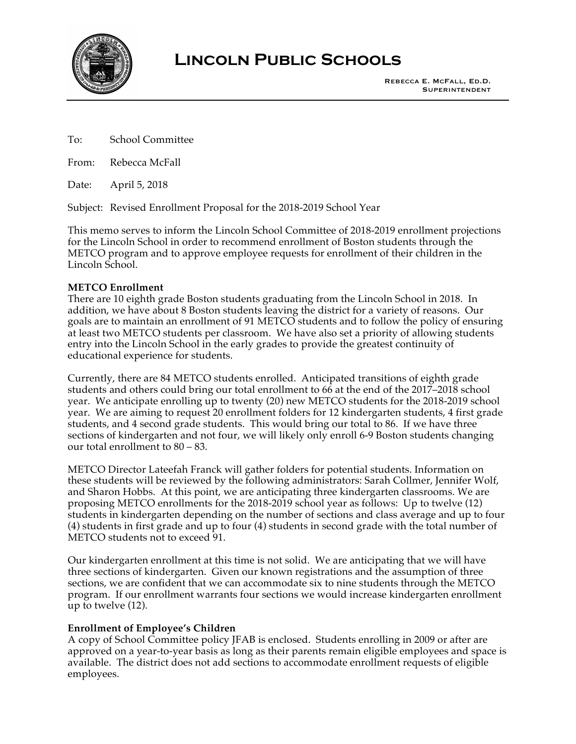

# **Lincoln Public Schools**

To: School Committee

From: Rebecca McFall

Date: April 5, 2018

Subject: Revised Enrollment Proposal for the 2018-2019 School Year

This memo serves to inform the Lincoln School Committee of 2018-2019 enrollment projections for the Lincoln School in order to recommend enrollment of Boston students through the METCO program and to approve employee requests for enrollment of their children in the Lincoln School.

## **METCO Enrollment**

There are 10 eighth grade Boston students graduating from the Lincoln School in 2018. In addition, we have about 8 Boston students leaving the district for a variety of reasons. Our goals are to maintain an enrollment of 91 METCO students and to follow the policy of ensuring at least two METCO students per classroom. We have also set a priority of allowing students entry into the Lincoln School in the early grades to provide the greatest continuity of educational experience for students.

Currently, there are 84 METCO students enrolled. Anticipated transitions of eighth grade students and others could bring our total enrollment to 66 at the end of the 2017–2018 school year. We anticipate enrolling up to twenty (20) new METCO students for the 2018-2019 school year. We are aiming to request 20 enrollment folders for 12 kindergarten students, 4 first grade students, and 4 second grade students. This would bring our total to 86. If we have three sections of kindergarten and not four, we will likely only enroll 6-9 Boston students changing our total enrollment to 80 – 83.

METCO Director Lateefah Franck will gather folders for potential students. Information on these students will be reviewed by the following administrators: Sarah Collmer, Jennifer Wolf, and Sharon Hobbs. At this point, we are anticipating three kindergarten classrooms. We are proposing METCO enrollments for the 2018-2019 school year as follows: Up to twelve (12) students in kindergarten depending on the number of sections and class average and up to four (4) students in first grade and up to four (4) students in second grade with the total number of METCO students not to exceed 91.

Our kindergarten enrollment at this time is not solid. We are anticipating that we will have three sections of kindergarten. Given our known registrations and the assumption of three sections, we are confident that we can accommodate six to nine students through the METCO program. If our enrollment warrants four sections we would increase kindergarten enrollment up to twelve (12).

# **Enrollment of Employee's Children**

A copy of School Committee policy JFAB is enclosed. Students enrolling in 2009 or after are approved on a year-to-year basis as long as their parents remain eligible employees and space is available. The district does not add sections to accommodate enrollment requests of eligible employees.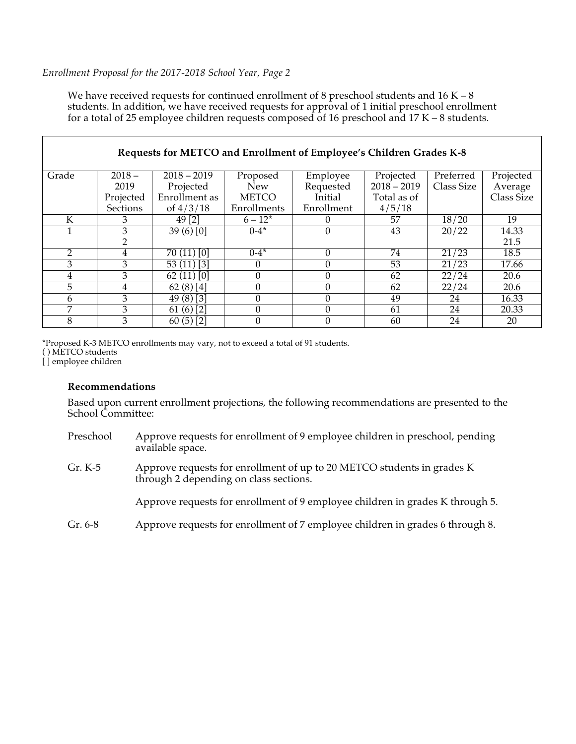## *Enrollment Proposal for the 2017-2018 School Year, Page 2*

We have received requests for continued enrollment of 8 preschool students and  $16 K - 8$ students. In addition, we have received requests for approval of 1 initial preschool enrollment for a total of 25 employee children requests composed of 16 preschool and 17 K – 8 students.

| Requests for METCO and Enrollment of Employee's Children Grades K-8 |           |               |              |            |               |            |            |  |
|---------------------------------------------------------------------|-----------|---------------|--------------|------------|---------------|------------|------------|--|
| Grade                                                               | $2018 -$  | $2018 - 2019$ | Proposed     | Employee   | Projected     | Preferred  | Projected  |  |
|                                                                     | 2019      | Projected     | <b>New</b>   | Requested  | $2018 - 2019$ | Class Size | Average    |  |
|                                                                     | Projected | Enrollment as | <b>METCO</b> | Initial    | Total as of   |            | Class Size |  |
|                                                                     | Sections  | of $4/3/18$   | Enrollments  | Enrollment | 4/5/18        |            |            |  |
| K                                                                   | 3         | 49 [2]        | $6 - 12^*$   |            | 57            | 18/20      | 19         |  |
|                                                                     | 3         | 39(6)[0]      | $0 - 4^*$    |            | 43            | 20/22      | 14.33      |  |
|                                                                     | 2         |               |              |            |               |            | 21.5       |  |
| $\mathcal{P}$                                                       | 4         | 70(11)[0]     | $0 - 4^*$    |            | 74            | 21/23      | 18.5       |  |
| 3                                                                   | 3         | $53(11)$ [3]  | $\Omega$     |            | 53            | 21/23      | 17.66      |  |
| 4                                                                   | 3         | $62(11)$ [0]  | $\theta$     |            | 62            | 22/24      | 20.6       |  |
| 5                                                                   | 4         | $62(8)$ [4]   | 0            |            | 62            | 22/24      | 20.6       |  |
| 6                                                                   | 3         | $49(8)$ [3]   | 0            |            | 49            | 24         | 16.33      |  |
| 7                                                                   | 3         | 61(6)[2]      | $\theta$     | $\Omega$   | 61            | 24         | 20.33      |  |
| 8                                                                   | 3         | $60(5)$ [2]   | 0            |            | 60            | 24         | 20         |  |

\*Proposed K-3 METCO enrollments may vary, not to exceed a total of 91 students. ( ) METCO students

[ ] employee children

#### **Recommendations**

Based upon current enrollment projections, the following recommendations are presented to the School Committee:

| Preschool | Approve requests for enrollment of 9 employee children in preschool, pending |
|-----------|------------------------------------------------------------------------------|
|           | available space.                                                             |

Gr. K-5 Approve requests for enrollment of up to 20 METCO students in grades K through 2 depending on class sections.

Approve requests for enrollment of 9 employee children in grades K through 5.

Gr. 6-8 Approve requests for enrollment of 7 employee children in grades 6 through 8.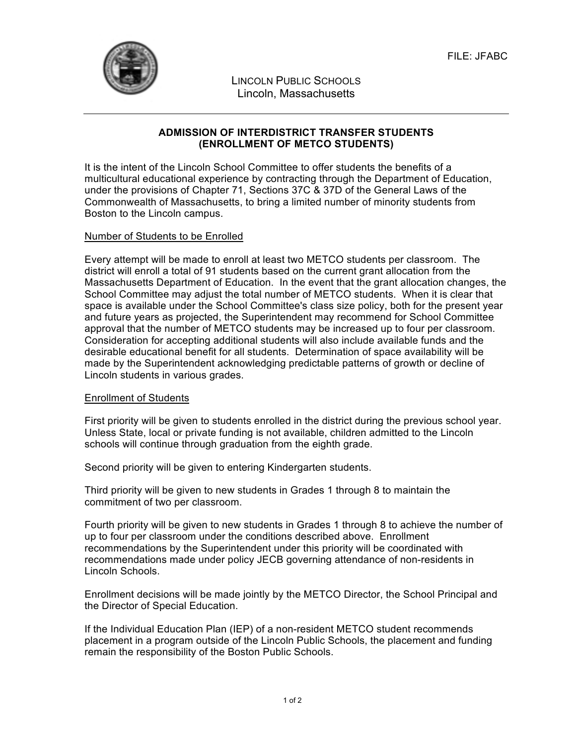

LINCOLN PUBLIC SCHOOLS Lincoln, Massachusetts

# **ADMISSION OF INTERDISTRICT TRANSFER STUDENTS (ENROLLMENT OF METCO STUDENTS)**

It is the intent of the Lincoln School Committee to offer students the benefits of a multicultural educational experience by contracting through the Department of Education, under the provisions of Chapter 71, Sections 37C & 37D of the General Laws of the Commonwealth of Massachusetts, to bring a limited number of minority students from Boston to the Lincoln campus.

# Number of Students to be Enrolled

Every attempt will be made to enroll at least two METCO students per classroom. The district will enroll a total of 91 students based on the current grant allocation from the Massachusetts Department of Education. In the event that the grant allocation changes, the School Committee may adjust the total number of METCO students. When it is clear that space is available under the School Committee's class size policy, both for the present year and future years as projected, the Superintendent may recommend for School Committee approval that the number of METCO students may be increased up to four per classroom. Consideration for accepting additional students will also include available funds and the desirable educational benefit for all students. Determination of space availability will be made by the Superintendent acknowledging predictable patterns of growth or decline of Lincoln students in various grades.

# Enrollment of Students

First priority will be given to students enrolled in the district during the previous school year. Unless State, local or private funding is not available, children admitted to the Lincoln schools will continue through graduation from the eighth grade.

Second priority will be given to entering Kindergarten students.

Third priority will be given to new students in Grades 1 through 8 to maintain the commitment of two per classroom.

Fourth priority will be given to new students in Grades 1 through 8 to achieve the number of up to four per classroom under the conditions described above. Enrollment recommendations by the Superintendent under this priority will be coordinated with recommendations made under policy JECB governing attendance of non-residents in Lincoln Schools.

Enrollment decisions will be made jointly by the METCO Director, the School Principal and the Director of Special Education.

If the Individual Education Plan (IEP) of a non-resident METCO student recommends placement in a program outside of the Lincoln Public Schools, the placement and funding remain the responsibility of the Boston Public Schools.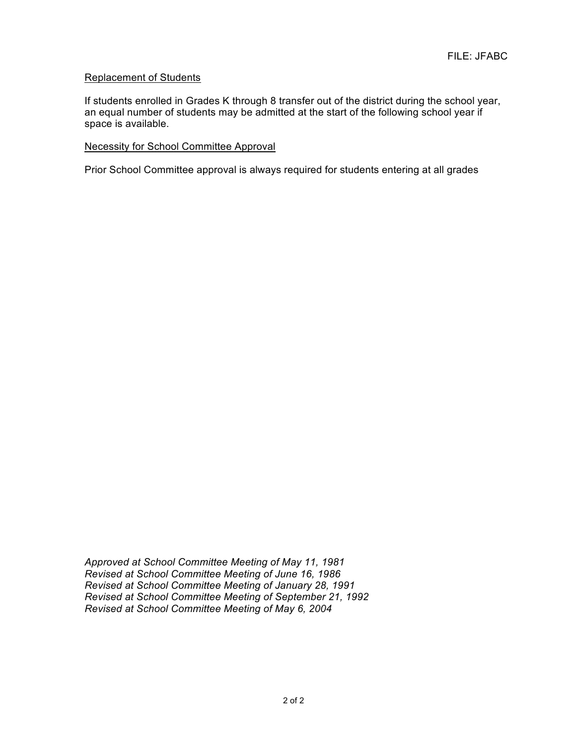## Replacement of Students

If students enrolled in Grades K through 8 transfer out of the district during the school year, an equal number of students may be admitted at the start of the following school year if space is available.

#### Necessity for School Committee Approval

Prior School Committee approval is always required for students entering at all grades

*Approved at School Committee Meeting of May 11, 1981 Revised at School Committee Meeting of June 16, 1986 Revised at School Committee Meeting of January 28, 1991 Revised at School Committee Meeting of September 21, 1992 Revised at School Committee Meeting of May 6, 2004*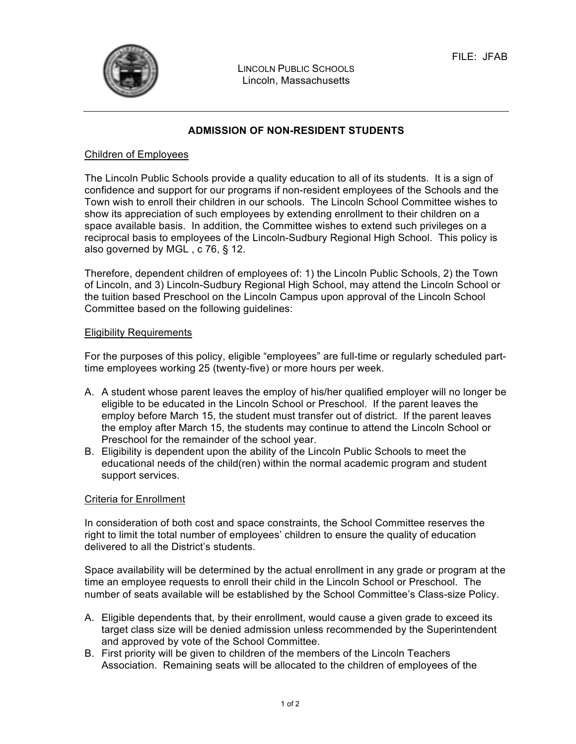

LINCOLN PUBLIC SCHOOLS Lincoln, Massachusetts

## **ADMISSION OF NON-RESIDENT STUDENTS**

#### Children of Employees

The Lincoln Public Schools provide a quality education to all of its students. It is a sign of confidence and support for our programs if non-resident employees of the Schools and the Town wish to enroll their children in our schools. The Lincoln School Committee wishes to show its appreciation of such employees by extending enrollment to their children on a space available basis. In addition, the Committee wishes to extend such privileges on a reciprocal basis to employees of the Lincoln-Sudbury Regional High School. This policy is also governed by MGL , c 76, § 12.

Therefore, dependent children of employees of: 1) the Lincoln Public Schools, 2) the Town of Lincoln, and 3) Lincoln-Sudbury Regional High School, may attend the Lincoln School or the tuition based Preschool on the Lincoln Campus upon approval of the Lincoln School Committee based on the following guidelines:

#### Eligibility Requirements

For the purposes of this policy, eligible "employees" are full-time or regularly scheduled parttime employees working 25 (twenty-five) or more hours per week.

- A. A student whose parent leaves the employ of his/her qualified employer will no longer be eligible to be educated in the Lincoln School or Preschool. If the parent leaves the employ before March 15, the student must transfer out of district. If the parent leaves the employ after March 15, the students may continue to attend the Lincoln School or Preschool for the remainder of the school year.
- B. Eligibility is dependent upon the ability of the Lincoln Public Schools to meet the educational needs of the child(ren) within the normal academic program and student support services.

#### Criteria for Enrollment

In consideration of both cost and space constraints, the School Committee reserves the right to limit the total number of employees' children to ensure the quality of education delivered to all the District's students.

Space availability will be determined by the actual enrollment in any grade or program at the time an employee requests to enroll their child in the Lincoln School or Preschool. The number of seats available will be established by the School Committee's Class-size Policy.

- A. Eligible dependents that, by their enrollment, would cause a given grade to exceed its target class size will be denied admission unless recommended by the Superintendent and approved by vote of the School Committee.
- B. First priority will be given to children of the members of the Lincoln Teachers Association. Remaining seats will be allocated to the children of employees of the